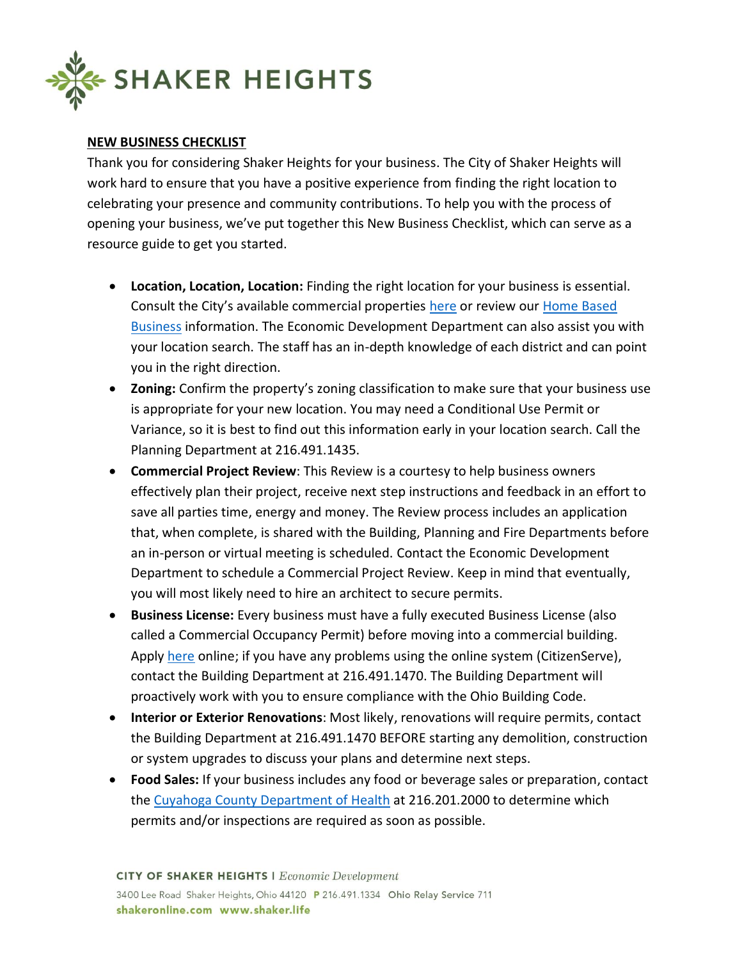

## **NEW BUSINESS CHECKLIST**

Thank you for considering Shaker Heights for your business. The City of Shaker Heights will work hard to ensure that you have a positive experience from finding the right location to celebrating your presence and community contributions. To help you with the process of opening your business, we've put together this New Business Checklist, which can serve as a resource guide to get you started.

- **Location, Location, Location:** Finding the right location for your business is essential. Consult the City's available commercial properties [here](https://shakeronline.com/307/Available-Properties) or review our [Home Based](https://shakeronline.com/312/Home-based-Businesses)  [Business](https://shakeronline.com/312/Home-based-Businesses) information. The Economic Development Department can also assist you with your location search. The staff has an in-depth knowledge of each district and can point you in the right direction.
- **Zoning:** Confirm the property's zoning classification to make sure that your business use is appropriate for your new location. You may need a Conditional Use Permit or Variance, so it is best to find out this information early in your location search. Call the Planning Department at 216.491.1435.
- **Commercial Project Review**: This Review is a courtesy to help business owners effectively plan their project, receive next step instructions and feedback in an effort to save all parties time, energy and money. The Review process includes an application that, when complete, is shared with the Building, Planning and Fire Departments before an in-person or virtual meeting is scheduled. Contact the Economic Development Department to schedule a Commercial Project Review. Keep in mind that eventually, you will most likely need to hire an architect to secure permits.
- **Business License:** Every business must have a fully executed Business License (also called a Commercial Occupancy Permit) before moving into a commercial building. Apply [here](https://shakeronline.com/481/Business-License) online; if you have any problems using the online system (CitizenServe), contact the Building Department at 216.491.1470. The Building Department will proactively work with you to ensure compliance with the Ohio Building Code.
- **Interior or Exterior Renovations**: Most likely, renovations will require permits, contact the Building Department at 216.491.1470 BEFORE starting any demolition, construction or system upgrades to discuss your plans and determine next steps.
- **Food Sales:** If your business includes any food or beverage sales or preparation, contact the [Cuyahoga County Department of Health](https://www.ccbh.net/home-business/) at 216.201.2000 to determine which permits and/or inspections are required as soon as possible.